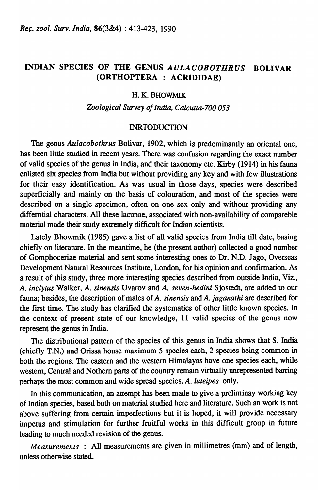# INDIAN SPECIES OF THE GENUS *AULACOBOTHRUS* BOLIVAR (ORTHOPTERA : ACRIDIDAE)

## H.K.BHOWMIK

#### *Zoological Survey of India, Calcutta-700 053*

## INRTODUCTION

The genus *Aulacobothrus* Bolivar, 1902, which is predominantly an oriental one, has been little studied in recent years. There was confusion regarding the exact number of valid species of the genus in India, and their taxonomy etc. Kirby (1914) in his fauna enlisted six species from India but without providing any key and with few illustrations for their easy identification. As was usual in those days, species were described superficially and mainly on the basis of colouration, and most of the species were described on a single specimen, often on one sex only and without providing any differntial characters. All these lacunae, associated with non-availability of compareble material made their study extremely difficult for Indian scientists.

Lately Bhowmik (1985) gave a list of all valid species from India till date, basing chiefly on literature. In the meantime, he (the present author) collected a good number of Gomphoceriae material and sent some interesting ones to Dr. N.D. Jago, Overseas Development Natural Resources Institute, London, for his opinion and confirmation. As a result of this study, three more interesting species described from outside India, Viz., *A. inclytus* Walker, *A. sinensis* Uvarov and *A. seven-hedini* Sjostedt, are added to our fauna; besides, the description of males of *A. sinensis* and *A. jaganathi* are described for the first time. The study has clarified the systematics of other little known species. In the context of present state of our knowledge,  $11$  valid species of the genus now represent the genus in India.

The distributional pattern of the species of this genus in India shows that S. India (chiefly T.N.) and Orissa house maximum 5 species each, 2 species being common in both the regions. The eastern and the western Himalayas have one species each, while western, Central and Nothern parts of the country remain virtually unrepresented barring perhaps the most common and wide spread species, *A. luteipes* only.

In this communication, an attempt has been made to give a preliminay working key of Indian species, based both on inaterial studied here and literature. Such an work is not above suffering from certain impertections but it is hoped, it will provide necessary impetus and stimulation for further fruitful works in this difficult group in future leading to much needed revision of the genus.

*Measurements* : All measurements are given in millimetres (mm) and of length, unless otherwise stated.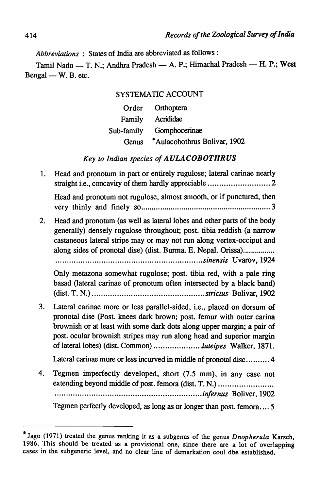*Abbreviations* : States of India are abbreviated as follows:

Tamil Nadu - T. N.; Andhra Pradesh - A. P.; Himachal Pradesh - H. P.; West Bengal — W. B. etc.

## SYSTEMATIC ACCOUNT

|            | Order Orthoptera             |
|------------|------------------------------|
| Family     | Acrididae                    |
| Sub-family | Gomphocerinae                |
| Genus      | *Aulacobothrus Bolivar, 1902 |

## *Key to Indian species of AULACOBOTHRUS*

1. Head and pronotum in part or entirely rugulose; lateral carinae nearly straight i.e., concavity of them hardly appreciable ........................... 2 Head and pronotum not rugulose, almost smooth, or if punctured, then very thinly and finely so ............................................................. 3 2. Head and pronotum (as well as lateral lobes and other parts of the body generally) densely rugulose throughout; post. tibia reddish (a narrow castaneous lateral stripe may or may not run along vertex-occiput and along sides of pronotal dise) (dist. Burma. E. Nepal. Orissa)................... . .. .. .. .. .. .. .. . .. .. .. .. .. .. .. . .. .. .. .... .. .. . .. .. .. ...... ... .. . *sinensis* Uvarov, 1924 Only metazona somewhat rugulose; post. tibia red, with a pale ring basad (lateral carinae of pronotum often intersected by a black band) (dist. T. N.) ................................................. *strictus* Bolivar, 1902 3. Lateral carinae more or less parallel-sided, i.e., placed on dorsum of pronotal dise (Post. knees dark brown; post. femur with outer carina brownish or at least with some dark dots along upper margin; a pair of post. ocular brownish stripes may run along head and superior margin of lateral lobes) (dist. Common) ................... *.. luteipes* Walker, 1871. Lateral carinae more or less incurved in middle of pronotal disc .......... 4 4. Tegmen imperfectly developed, short (7.5 mm), in any case not extending beyond middle of post. femora (dist. T. N.) .......................... · .............. · ................................................ *infernus* Boliver, 1902 Tegmen perfectly developed, as long as or longer than post. femora .... 5

<sup>\*</sup> Jago (1971) treated the genus nmking it as a subgenus of the genus *Dnopherula* Karsch, 1986. This should be treated as a provisional one, since there are a lot of overlapping cases in the subgeneric level, and no clear line of demarkation coul dbe established.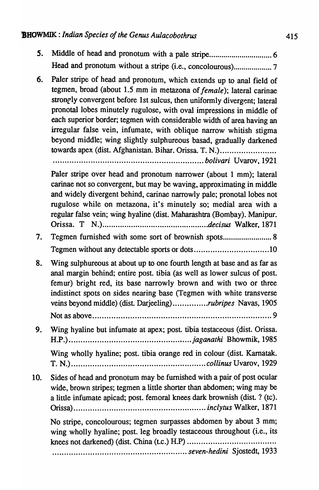- *s.* Middle of head and pronotum with a pale stripe ............................... 6 Head and pronotum without a stripe (i.e., concolourous) ................... 7
- 6. Paler stripe of head and pronotum, which extends up to anal field of tegmen, broad (about 1.5 mm in metazona of *female*); lateral carinae strongly convergent before 1st sulcus, then uniformly divergent; lateral pronotal lobes minutely rugulose, with oval impressions in middle of each superior border; tegmen with considerable width of area having an irregular false vein, infumate, with oblique narrow whitish stigma beyond middle; wing slightly sulphureous basad, gradually darkened towards apex (dist. Afghanistan. Bihar. Orissa. T. N.)..........................

................................................................ *bolivari* Uvarov, 1921

Paler stripe over head and pronotum narrower (about 1 mm); lateral carinae not so convergent, but may be waving, approximating in middle and widely divergent behind, carinae narrowly pale; pronotal lobes not rugulose while on metazona, it's minutely so; medial area with a regular false vein; wing hyaline (dist. Maharashtra (Bombay). Manipur. Orissa. T *N.) ................................................ decisus* Walker, 1871

7. Tegmen furnished with some sort of brownish spots............................. 8 Tegmen without any detectable sports or dots ................................ 10

- 8. Wing sulphureous at about up to one fourth length at base and as far as anal margin behind; entire post. tibia (as well as lower sulcus of post. femur) bright red, its base narrowly brown and with two or three indistinct spots on sides nearing base (Tegmen with white transverse veins beyond middle) (dist. Darjeeling) .............. *. rubripes* Navas, 1905
	- Not as aoove ............................................................................ 9
- 9. Wing hyaline but infumate at apex; post. tibia testaceous (dist. Orissa. H.P.) .................................................... *jaganathi* Bhowmik, 1985

Wing wholly hyaline; post. tibia orange red in colour (dist. Karnatak. T. N.) ......................................................... *collinus* Uvarov, 1929

10. Sides of head and pronotum may be furnished with a pair, of post ocular wide, brown stripes; tegmen a little shorter than abdomen; wing may be a little infumate apicad; post. femoral knees dark brownish (dist ? (tc). Orissa) ........................................................ *inclytus* Walker, 1871

No stripe, concolourous; tegmen surpasses abdomen by about 3 mm; wing wholly hyaline; post. leg broadly testaceous throughout (i.e., its knees not darkened) (dist. China (t.c.) H.P) ..................................... . ......................................................... *seven-hedini* Sjostedt, 1933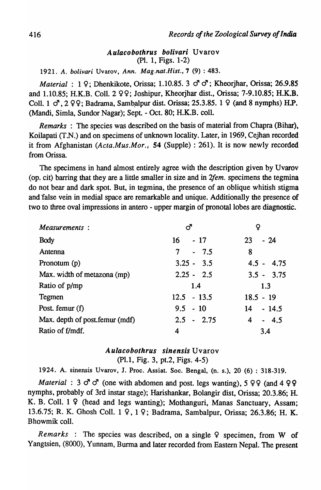### *Aulacobothrus bolivari* Uvarov (PI. 1, Figs. 1-2)

*1921. A. bolivari* Uv arov , *Ann. Mag.nat.Hist.,7* (9) : 483.

*Material* : 1 9; Dhenkikote, Orissa; 1.10.85. 3  $\sigma$   $\sigma$ ; Kheorjhar, Orissa; 26.9.85 and 1.10.85; H.K.B. Coll. 2 99; Joshipur, Kheorjhar dist., Orissa; 7-9.10.85; H.K.B. Coll,  $1 \text{ } \mathcal{F}$ ,  $2 \varphi$ . Badrama, Sambalpur dist. Orissa; 25.3.85. 1  $\varphi$  (and 8 nymphs) H.P. (Mandi, Simla, Sundor Nagar); Sept. - Oct. 80; H.K.B. colI.

*Remarks* : The species was described on the basis of material from Chapra (Bihar), Koilapati (T.N.) and on specimens of unknown locality. Later, in 1969, Cejhan recorded it from Afghanistan *(Acta.Mus.Mor.;* 54 (Supple) : 261). It is now newly recorded from Orissa.

The specimens in hand almost entirely agree with the description given by Uvarov (op. cit) barring that they are a little smaller in size and in *2fem.* specimens the tegmina do not bear and dark spot. But, in tegmina, the presence of an oblique whitish stigma and false vein in medial space are remarkable and unique. Additionally the presence of two to three oval impressions in antero - upper margin of pronotal lobes are diagnostic.

| Measurements:                   | ൪             |              |
|---------------------------------|---------------|--------------|
| <b>Body</b>                     | $-17$<br>16   | $-24$<br>23  |
| Antenna                         | $-7.5$<br>7   | 8            |
| Pronotum (p)                    | $3.25 - 3.5$  | $4.5 - 4.75$ |
| Max. width of metazona (mp)     | $2.25 - 2.5$  | $3.5 - 3.75$ |
| Ratio of p/mp                   | 1.4           | 1.3          |
| Tegmen                          | $12.5 - 13.5$ | $18.5 - 19$  |
| Post. femur (f)                 | $9.5 - 10$    | $14 - 14.5$  |
| Max. depth of post. femur (mdf) | $2.5 - 2.75$  | $-4.5$<br>4  |
| Ratio of f/mdf.                 | 4             | 3.4          |

#### *Aulacobothrus sinensis* Uvarov

(Pl.1, Fig. 3, pt.2, Figs. 4-5)

1924. A. sinensis Uvarov, I. Proc. Assiat. Soc. Bengal, (n. s.), 20 (6) : 318-319.

*Material* : 3  $\sigma$   $\sigma$  (one with abdomen and post. legs wanting), 5  $99$  (and 4  $99$ nymphs, probably of 3rd instar stage); Harishankar, Bolangir dist, Orissa; 20.3.86; H. K. B. Coll. 1 9 (head and legs wanting); Mothanguri, Manas Sanctuary, Assam; 13.6.75; R. K. Ghosh Coll. 1 9, 1 9; Badrama, Sambalpur, Orissa; 26.3.86; H. K. Bhowmik colI.

*Remarks* : The species was described, on a single  $\varphi$  specimen, from W of Yangtsien, (8000), Yunnam, Burma and later recorded from Eastern Nepal. The present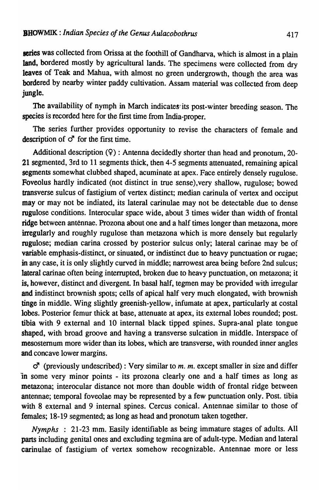series was collected from Orissa at the foothill of Gandharva, which is almost in a plain land, bordered mostly by agricultural lands. The specimens were collected from dry leaves of Teak and Mahua, with almost no green undergrowth, though the area was bordered by nearby winter paddy cultivation. Assam material was collected from deep jungle.

The availability of nymph in March indicates its post-winter breeding season. The species is recorded here for the frrst time from India-proper.

The series further provides opportunity to revise the characters of female and description of  $\sigma$  for the first time.

Additional description (9) : Antenna decidedly shorter than head and pronotum, 20- 21 segmented, 3rd to 11 segments thick, then 4-5 segments attenuated, remaining apical segments somewhat clubbed shaped, acuminate at apex. Face entirely densely rugulose. Foveolus hardly indicated (not distinct in true sense), very shallow, rugulose; bowed transverse sulcus of fastigium of vertex distinct; median carinula of vertex and occiput may or may not be indiated, its lateral carinulae may not be detectable due to dense rugulose conditions. Interocular space wide, about 3 times wider than width of frontal ridge between antennae. Prozona about one and a half times longer than metazona, more irregularly and roughly rugulose than metazona which is more densely but regularly rugulose; median carina crossed by posterior sulcus only; lateral carinae may be of variable emphasis-distinct, or sinuated, or indistinct due to heavy punctuation or rugae; in any case, it is only slightly curved in middle; narrowest area being before 2nd sulcus; lateral carinae often being interrupted, broken due to heavy punctuation, on metazona; it is, however, distinct and divergent. In basal half, tegmen may be provided with irregular and indistinct brownish spots; cells of apical half very much elongated, with brownish tinge in middle. Wing slightly greenish-yellow, infumate at apex, particularly at costal lobes. Posterior femur thick at base, attenuate at apex, its external lobes rounded; post. tibia with 9 external and 10 internal black tipped spines. Supra-anal plate tongue shaped, with broad groove and having a transverse sulcation in middle. Interspace of mesosternum more wider than its lobes, which are transverse, with rounded inner angles and concave lower margins.

*c!* (previously undescribed) : Very similar to *m. m.* except smaller in size and differ in some very minor points - its prozona clearly one and a half times as long as metazona; interocular distance not more than double width of frontal ridge between antennae; temporal foveolae may be represented by a few punctuation only. Post. tibia with 8 external and 9 internal spines. Cercus conical. Antennae similar to those of females; 18-19 segmented; as long as head and pronotum taken together.

*Nymphs* : 21-23 mm. Easily identifiable as being immature stages of adults. All parts including genital ones and excluding tegmina are of adult-type. Median and lateral carinulae of fastigium of vertex somehow recognizable. Antennae more or less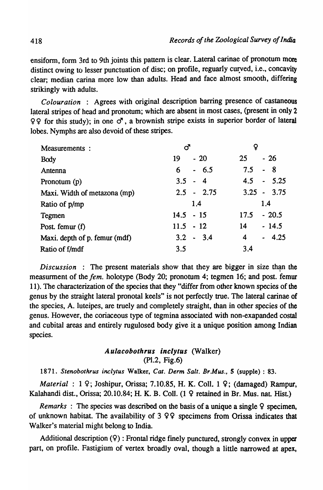ensiform, form 3rd to 9th joints this pattern is clear. Lateral carinae of pronotum more distinct owing to lesser punctuation of disc; on profile, reguarly curved, i.e., concavity clear; median carina more low than adults. Head and face almost smooth, differing strikingly with adults.

*Colouration* : Agrees with original description barring presence of castaneous lateral stripes of head and pronotum; which are absent in most cases, (present in only 2  $99$  for this study); in one  $\sigma$ , a brownish stripe exists in superior border of lateral lobes. Nymphs are also devoid of these stripes.

| Measurements :                |              |                            |
|-------------------------------|--------------|----------------------------|
| <b>Body</b>                   | $-20$<br>19  | $-26$<br>25                |
| Antenna                       | $-6.5$<br>6  | 7.5<br>8<br>$\blacksquare$ |
| Pronotum (p)                  | $3.5 - 4$    | $4.5 - 5.25$               |
| Maxi. Width of metazona (mp)  | $2.5 - 2.75$ | $3.25 - 3.75$              |
| Ratio of p/mp                 | 1.4          | 1.4                        |
| Tegmen                        | $14.5 - 15$  | $-20.5$<br>17.5            |
| Post. femur (f)               | $11.5 - 12$  | $-14.5$<br>14              |
| Maxi. depth of p. femur (mdf) | $3.2 - 3.4$  | $-4.25$<br>4               |
| Ratio of f/mdf                | 3.5          | 3.4                        |

*Discussion* : The present materials show that they are bigger in size than the measurment of the *fern.* holotype (Body 20; pronotum 4; tegmen 16; and post. femur 11). The characterization of the species that they "differ from other known species of the genus by the straight lateral pronotal keels" is not perfectly true. The lateral carinae of the species, A. luteipes, are truely and completely straight, than in other species of the genus. However, the coriaceous type of tegmina associated with non-exapanded costal and cubital areas and entirely rugulosed body give it a unique position among Indian species.

## *Aulacobothrus inclyt"s* (Walker) (P1.2, Fig.6)

1871. Stenobothrus inclytus Walker, Cat. Derm Salt. Br.Mus., 5 (supple) : 83.

*Material* : 1 9; Joshipur, Orissa; 7.10.85, H. K. Coll. 1 9; (damaged) Rampur, Kalahandi dist., Orissa; 20.10.84; H. K. B. Coll. (1 9 retained in Br. Mus. nat. Hist.)

*Remarks* : The species was described on the basis of a unique a single 9 specimen, of unknown habitat. The availability of  $3 \varphi$  specimens from Orissa indicates that Walker's material might belong to India.

Additional description  $(9)$ : Frontal ridge finely punctured, strongly convex in upper part, on profile. Fastigium of vertex broadly oval, though a little narrowed at apex,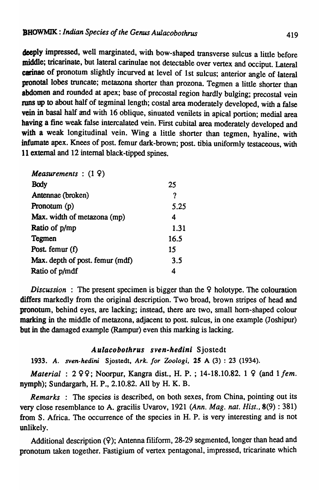deeply impressed, well marginated, with bow-shaped transverse sulcus a little before middle; tricarinate, but lateral carinulae not detectable over vertex and occiput. Lateral carinae of pronotum slightly incurved at level of 1st sulcus; anterior angle of lateral pronotal lobes truncate; metazona shorter than prozona. Tegmen a little shorter than abdomen and rounded at apex; base of precostal region hardly bulging; precostal vein runs up to about half of tegminal length; costal area moderately developed, with a false vein in basal half and with 16 oblique, sinuated venilets in apical portion; medial area having a fine weak false intercalated vein. First cubital area moderately developed and with a weak longitudinal vein. Wing a little shorter than tegmen, hyaline, with infumate apex. Knees of post. femur dark-brown; post. tibia uniformly testaceous. with 11 external and 12 internal black-tipped spines.

| Measurements : $(1 9)$          |      |
|---------------------------------|------|
| <b>Body</b>                     | 25   |
| Antennae (broken)               | ?    |
| Pronotum $(p)$                  | 5.25 |
| Max. width of metazona (mp)     | 4    |
| Ratio of p/mp                   | 1.31 |
| Tegmen                          | 16.5 |
| Post. femur $(f)$               | 15   |
| Max. depth of post. femur (mdf) | 3.5  |
| Ratio of p/mdf                  | 4    |

*Discussion* : The present specimen is bigger than the 9 holotype. The colouration differs markedly from the original description. Two broad, brown stripes of head and pronotum, behind eyes, are lacking; instead, there are two, small horn-shaped colour marking in the middle of metazona, adjacent to post. sulcus, in one example (Joshipur) but in the damaged example (Rampur) even this marking is lacking.

## Aulacobothrus sven-hedini Sjostedt

*1933. A. sven-hedini* Sjostedt, *Ark. for Zoologi,* 15 A (3) : 23 (1934).

*Material* : 2 99; Noorpur, Kangra dist., H. P. ; 14-18.10.82. 1 9 (and 1 *fern.*  nymph); Sundargarh, H. P., 2.10.82. All by H. K. B.

*Remarks* : The species is described, on both sexes, from China, pointing out its very close resemblance to A. gracilis Uvarov, 1921 (Ann. Mag. nat. *Hist.,* 8(9) : 381) from S. Africa. The occurrence of the species in H. P. is very interesting and is not unlikely.

Additional description (9); Antenna filiform, 28-29 segmented, longer than head and pronotum taken together. Fastigium of vertex pentagonal, impressed, tricarinate which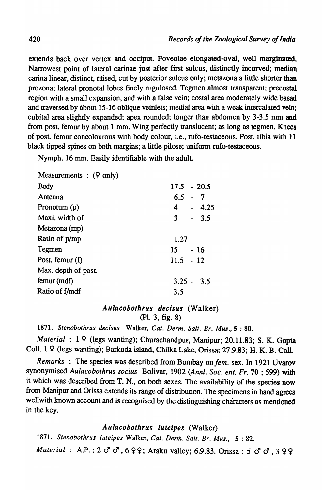extends back over vertex and occiput. Foveolae elongated-oval, well marginated. Narrowest point of lateral carinae just after first sulcus, distinctly incurved; median carina linear, distinct, raised, cut by posterior sulcus only; metazona a little shorter than prozona; lateral pronotal lobes finely rugulosed. Tegmen almost transparent; precostal region with a small expansion, and with a false vein; costal area moderately wide basad and traversed by about 15-16 oblique veinlets; medial area with a weak intercalated vein; cubital area slightly expanded; apex rounded; longer than abdomen by 3-3.5 mm and from post. femur by about 1 mm. Wing perfectly translucent; as long as tegmen. Knees of post. femur concolourous with body colour, i.e., rufo-testaceous. Post tibia with 11 black tipped spines on both margins; a little pilose; uniform rufo-testaceous.

Nymph. 16 mm. Easily identifiable with the adult.

| Measurements : $(9 \text{ only})$ |               |
|-----------------------------------|---------------|
| Body                              | $17.5 - 20.5$ |
| Antenna                           | $6.5 - 7$     |
| Pronotum (p)                      | $4 - 4.25$    |
| Maxi, width of                    | $3 - 3.5$     |
| Metazona (mp)                     |               |
| Ratio of p/mp                     | 1.27          |
| Tegmen                            | $15 - 16$     |
| Post. femur (f)                   | $11.5 - 12$   |
| Max. depth of post.               |               |
| femur (mdf)                       | $3.25 - 3.5$  |
| Ratio of f/mdf                    | 3.5           |
|                                   |               |

# *Aulacobothrus decisus* (Walker) (pI. 3, fig. 8)

1871. *Stenobothrus decisus* Walker, *Cat. Derm. Salt. Br. Mus.,* 5 : 80.

*Material* : 1 9 (legs wanting); Churachandpur, Manipur; 20.11.83; S. K. Gupta CoIl. 1 9 (legs wanting); Barkuda island, Chilka Lake, Orissa; 27.9.83; H. K. B. Coli.

*Remarks* : The species was described from Bombay on *fem.* sex. In 1921 Uvarov synonymised *Aulacobothrus socius* Bolivar, 1902 *(Annl. Soc. ent. Fr.* 70 ; 599) with it which was described from T. N., on both sexes. The availability of the species now from Manipur and Orissa extends its range of distribution. The specimens in hand agrees wellwith known account and is recognised by the distinguishing characters as mentioned in the key.

# *Aulacobothrus luteipes* (Walker)

1871. *Stenobothrus luteipes* Walker, *Cat. Derm. Salt. Br. Mus.,* 5: 82. *Material* : A.P. : 2  $\sigma$   $\sigma$ , 6 9 9; Araku valley; 6.9.83. Orissa: 5  $\sigma$   $\sigma$ , 3 9 9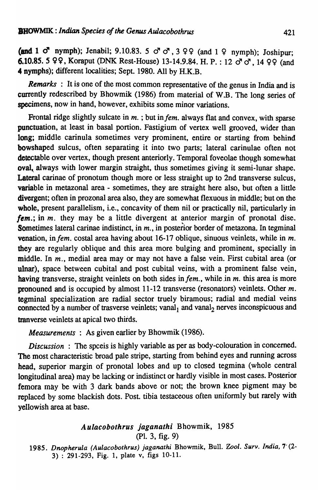(and 1  $\sigma$  nymph); Jenabil; 9.10.83. 5  $\sigma$   $\sigma$ , 3 99 (and 1 9 nymph); Joshipur; 6.10.85. 5 99, Koraput (DNK Rest-House) 13-14.9.84. H. P. : 12  $\sigma \sigma$ , 14 99 (and 4 nymphs); different localities; Sept. 1980. All by H.K.B.

*Remarks* : It is one of the most common representative of the genus in India and is currently redescribed by Bhowmik (1986) from material of W.B. The long series of specimens, now in hand, however, exhibits some minor variations.

Frontal ridge slightly sulcate in *m.*; but in *fem.* always flat and convex, with sparse punctuation, at least in basal portion. Fastigium of vertex well grooved, wider than long; middle carinula sometimes very prominent, entire or starting from behind bowshaped sulcus, often separating it into two parts; lateral carinulae often not detectable over vertex, though present anteriorly. Temporal foveolae though somewhat oval, always with lower margin straight, thus sometimes giving it semi-lunar shape. Lateral carinae of pronotum though more or less straight up to 2nd transverse sulcus, variable in metazonal area - sometimes, they are straight here also, but often a little divergent; often in prozonal area also, they are somewhat flexuous in middle; but on the whole, present parallelism, i.e., concavity of them nil or practically nil, particularly in *fem.;* in *m.* they may be a little divergent at anterior margin of pronotal dise. Sometimes lateral carinae indistinct, in *m.*, in posterior border of metazona. In tegminal venation, in *fem.* costal area having about 16-17 oblique, sinuous veinlets, while in *m*. they are regularly oblique and this area more bulging and prominent, specially in middle. In *m*., medial area may or may not have a false vein. First cubital area (or ulnar), space between cubital and post cubital veins, with a prominent false vein, having transverse, straight veinlets on both sides in *fem.*, while in *m*. this area is more pronouned and is occupied by almost 11-12 transverse (resonators) veinlets. Other *m.*  tegminal specialization are radial sector truely biramous; radial and medial veins connected by a number of trasverse veinlets; vanal, and vanal<sub>2</sub> nerves inconspicuous and tranverse veinlets at apical two thirds.

*Measurements* : As given earlier by Bhowmik (1986).

**Discussion:** The spceis is highly variable as per as body-colouration in concerned. The most characteristic broad pale stripe, starting from behind eyes and running across head, superior margin of pronotal lobes and up to closed tegmina (whole central longitudinal area) may be lacking or indistinct or hardly visible in most cases. Posterior femora may be with 3 dark bands above or not; the brown knee pigment may be replaced by some blackish dots. Post. tibia testaceous often uniformly but rarely with yellowish area at base.

## *Aulacobothrus jaganathi* Bhowmik, 1985 (PI. 3, fig. 9)

*1985. Dnopherula (Aulacobothrus) jaganathi* Bhowmik, Bull. *Zool. Surv. India,* 7' (2- 3) : 291-293, Fig. 1, plate v, figs 10-11.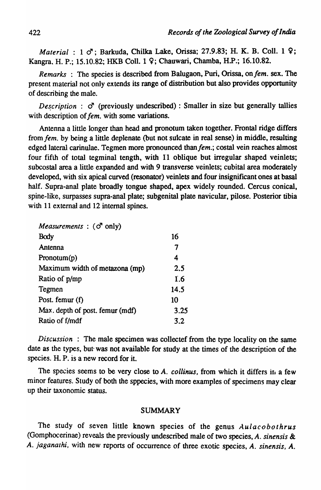*Material* : 1  $\sigma$ ; Barkuda, Chilka Lake, Orissa; 27.9.83; H. K. B. Coll. 1 9; Kangra. H. P.; 15.10.82; HKB ColI. 1 9; Chauwari, Chamba, H.P.; 16.10.82.

*Remarks* : The species is described from Balugaon, Puri, Orissa, on fem. sex. The present material not only extends its range of distribution but also provides opportunity of describing the male.

*Description* :  $\sigma$  (previously undescribed) : Smaller in size but generally tallies with description of *fem*. with some variations.

Antenna a little longer than head and pronotum taken together. Frontal ridge differs from *fern.* by being a little deplenate (but not sulcate in real sense) in middle, resulting edged lateral carinulae. Tegmen more pronounced than fem.; costal vein reaches almost four fifth of total tegminal tength, with 11 oblique but irregular shaped veinlets; subcostal area a little expanded and with 9 transverse veinlets; cubital area moderately developed, with six apical curved (resonator) veinlets and four insignificant ones at basal half. Supra-anal plate broadly tongue shaped, apex widely rounded. Cercus conical, spine-like, surpasses supra-anal plate; subgenital plate navicular, pilose. Posterior tibia with 11 external and 12 internal spines.

| <i>Measurements</i> : $(\vec{O}^T \text{ only})$ |      |
|--------------------------------------------------|------|
| Body                                             | 16   |
| Antenna                                          | 7    |
| Pronotum(p)                                      | 4    |
| Maximum width of metazona (mp)                   | 2.5  |
| Ratio of p/mp                                    | 1.6  |
| Tegmen                                           | 14.5 |
| Post. femur (f)                                  | 10   |
| Max. depth of post. femur (mdf)                  | 3.25 |
| Ratio of f/mdf                                   | 3.2  |

*Discussion* : The male specimen was collectef from the type locality on the same date as the types, but· was not available for study at the times of the description of the species. H. P. is a new record for it.

The species seems to be very close to *A. collinus*, from which it differs in a few minor features. Study of both the sppecies, with more examples of specimens may clear up their taxonomic status.

#### SUMMARY

The study of seven little known species of the genus *Aulacobothrus*  (Gomphocerinae) reveals the previously undescribed male of two species, *A. sinensis* & *A. jaganarhi,* with new reports of occurrence of three exotic species, *A. sinensis, A.*